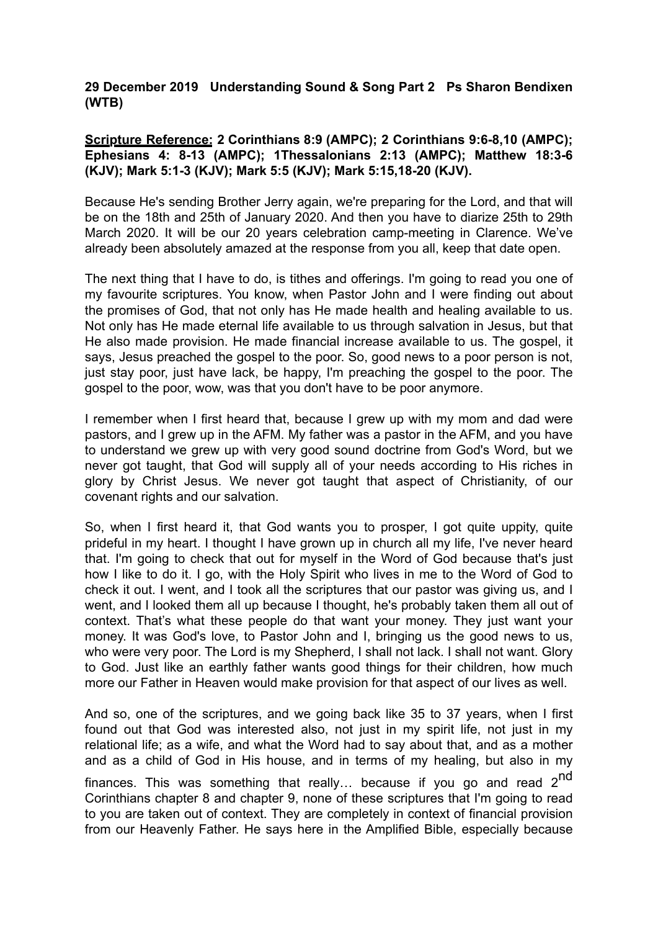## **29 December 2019 Understanding Sound & Song Part 2 Ps Sharon Bendixen (WTB)**

# **Scripture Reference: 2 Corinthians 8:9 (AMPC); 2 Corinthians 9:6-8,10 (AMPC); Ephesians 4: 8-13 (AMPC); 1Thessalonians 2:13 (AMPC); Matthew 18:3-6 (KJV); Mark 5:1-3 (KJV); Mark 5:5 (KJV); Mark 5:15,18-20 (KJV).**

Because He's sending Brother Jerry again, we're preparing for the Lord, and that will be on the 18th and 25th of January 2020. And then you have to diarize 25th to 29th March 2020. It will be our 20 years celebration camp-meeting in Clarence. We've already been absolutely amazed at the response from you all, keep that date open.

The next thing that I have to do, is tithes and offerings. I'm going to read you one of my favourite scriptures. You know, when Pastor John and I were finding out about the promises of God, that not only has He made health and healing available to us. Not only has He made eternal life available to us through salvation in Jesus, but that He also made provision. He made financial increase available to us. The gospel, it says, Jesus preached the gospel to the poor. So, good news to a poor person is not, just stay poor, just have lack, be happy, I'm preaching the gospel to the poor. The gospel to the poor, wow, was that you don't have to be poor anymore.

I remember when I first heard that, because I grew up with my mom and dad were pastors, and I grew up in the AFM. My father was a pastor in the AFM, and you have to understand we grew up with very good sound doctrine from God's Word, but we never got taught, that God will supply all of your needs according to His riches in glory by Christ Jesus. We never got taught that aspect of Christianity, of our covenant rights and our salvation.

So, when I first heard it, that God wants you to prosper, I got quite uppity, quite prideful in my heart. I thought I have grown up in church all my life, I've never heard that. I'm going to check that out for myself in the Word of God because that's just how I like to do it. I go, with the Holy Spirit who lives in me to the Word of God to check it out. I went, and I took all the scriptures that our pastor was giving us, and I went, and I looked them all up because I thought, he's probably taken them all out of context. That's what these people do that want your money. They just want your money. It was God's love, to Pastor John and I, bringing us the good news to us, who were very poor. The Lord is my Shepherd, I shall not lack. I shall not want. Glory to God. Just like an earthly father wants good things for their children, how much more our Father in Heaven would make provision for that aspect of our lives as well.

And so, one of the scriptures, and we going back like 35 to 37 years, when I first found out that God was interested also, not just in my spirit life, not just in my relational life; as a wife, and what the Word had to say about that, and as a mother and as a child of God in His house, and in terms of my healing, but also in my finances. This was something that really... because if you go and read  $2^{nd}$ Corinthians chapter 8 and chapter 9, none of these scriptures that I'm going to read to you are taken out of context. They are completely in context of financial provision from our Heavenly Father. He says here in the Amplified Bible, especially because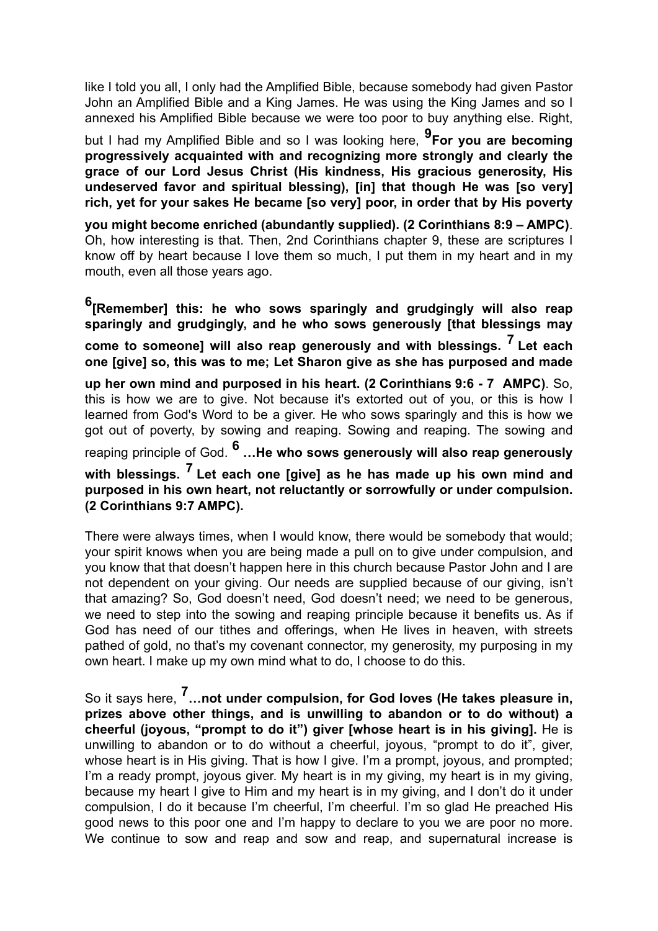like I told you all, I only had the Amplified Bible, because somebody had given Pastor John an Amplified Bible and a King James. He was using the King James and so I annexed his Amplified Bible because we were too poor to buy anything else. Right,

but I had my Amplified Bible and so I was looking here, **9For you are becoming progressively acquainted with and recognizing more strongly and clearly the grace of our Lord Jesus Christ (His kindness, His gracious generosity, His undeserved favor and spiritual blessing), [in] that though He was [so very] rich, yet for your sakes He became [so very] poor, in order that by His poverty** 

**you might become enriched (abundantly supplied). (2 Corinthians 8:9 – AMPC)**. Oh, how interesting is that. Then, 2nd Corinthians chapter 9, these are scriptures I know off by heart because I love them so much, I put them in my heart and in my mouth, even all those years ago.

**6[Remember] this: he who sows sparingly and grudgingly will also reap sparingly and grudgingly, and he who sows generously [that blessings may come to someone] will also reap generously and with blessings. 7 Let each one [give] so, this was to me; Let Sharon give as she has purposed and made up her own mind and purposed in his heart. (2 Corinthians 9:6 - 7 AMPC)**. So, this is how we are to give. Not because it's extorted out of you, or this is how I learned from God's Word to be a giver. He who sows sparingly and this is how we got out of poverty, by sowing and reaping. Sowing and reaping. The sowing and reaping principle of God. **6 …He who sows generously will also reap generously with blessings. 7 Let each one [give] as he has made up his own mind and purposed in his own heart, not reluctantly or sorrowfully or under compulsion. (2 Corinthians 9:7 AMPC).**

There were always times, when I would know, there would be somebody that would; your spirit knows when you are being made a pull on to give under compulsion, and you know that that doesn't happen here in this church because Pastor John and I are not dependent on your giving. Our needs are supplied because of our giving, isn't that amazing? So, God doesn't need, God doesn't need; we need to be generous, we need to step into the sowing and reaping principle because it benefits us. As if God has need of our tithes and offerings, when He lives in heaven, with streets pathed of gold, no that's my covenant connector, my generosity, my purposing in my own heart. I make up my own mind what to do, I choose to do this.

So it says here, **7…not under compulsion, for God loves (He takes pleasure in, prizes above other things, and is unwilling to abandon or to do without) a cheerful (joyous, "prompt to do it") giver [whose heart is in his giving].** He is unwilling to abandon or to do without a cheerful, joyous, "prompt to do it", giver, whose heart is in His giving. That is how I give. I'm a prompt, joyous, and prompted; I'm a ready prompt, joyous giver. My heart is in my giving, my heart is in my giving, because my heart I give to Him and my heart is in my giving, and I don't do it under compulsion, I do it because I'm cheerful, I'm cheerful. I'm so glad He preached His good news to this poor one and I'm happy to declare to you we are poor no more. We continue to sow and reap and sow and reap, and supernatural increase is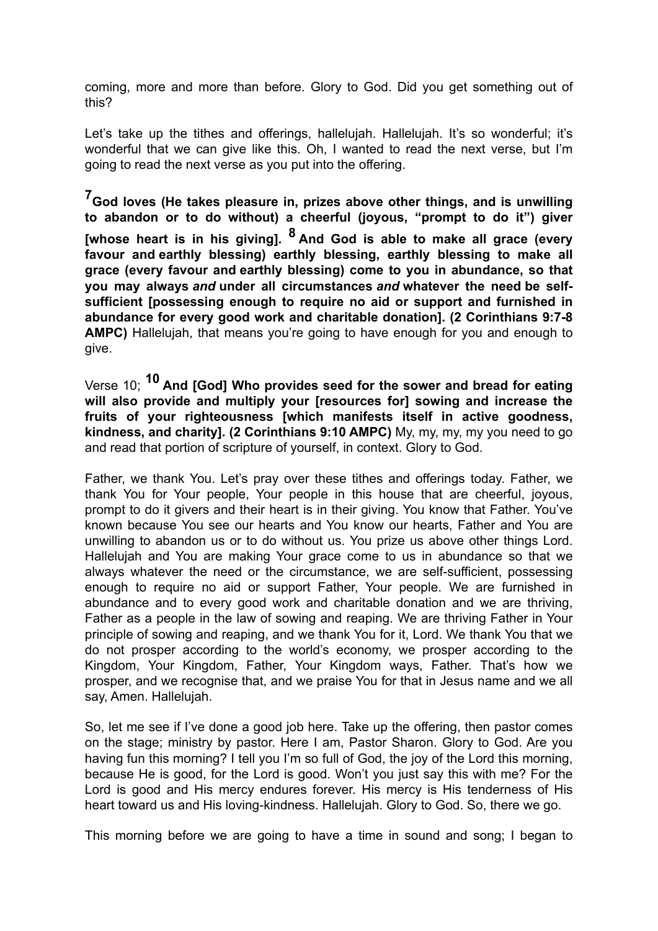coming, more and more than before. Glory to God. Did you get something out of this?

Let's take up the tithes and offerings, hallelujah. Hallelujah. It's so wonderful; it's wonderful that we can give like this. Oh, I wanted to read the next verse, but I'm going to read the next verse as you put into the offering.

**7God loves (He takes pleasure in, prizes above other things, and is unwilling to abandon or to do without) a cheerful (joyous, "prompt to do it") giver [whose heart is in his giving]. 8 And God is able to make all grace (every favour and earthly blessing) earthly blessing, earthly blessing to make all grace (every favour and earthly blessing) come to you in abundance, so that you may always** *and* **under all circumstances** *and* **whatever the need be selfsufficient [possessing enough to require no aid or support and furnished in abundance for every good work and charitable donation]. (2 Corinthians 9:7-8 AMPC)** Hallelujah, that means you're going to have enough for you and enough to give.

Verse 10; **10 And [God] Who provides seed for the sower and bread for eating will also provide and multiply your [resources for] sowing and increase the fruits of your righteousness [which manifests itself in active goodness, kindness, and charity]. (2 Corinthians 9:10 AMPC)** My, my, my, my you need to go and read that portion of scripture of yourself, in context. Glory to God.

Father, we thank You. Let's pray over these tithes and offerings today. Father, we thank You for Your people, Your people in this house that are cheerful, joyous, prompt to do it givers and their heart is in their giving. You know that Father. You've known because You see our hearts and You know our hearts, Father and You are unwilling to abandon us or to do without us. You prize us above other things Lord. Hallelujah and You are making Your grace come to us in abundance so that we always whatever the need or the circumstance, we are self-sufficient, possessing enough to require no aid or support Father, Your people. We are furnished in abundance and to every good work and charitable donation and we are thriving, Father as a people in the law of sowing and reaping. We are thriving Father in Your principle of sowing and reaping, and we thank You for it, Lord. We thank You that we do not prosper according to the world's economy, we prosper according to the Kingdom, Your Kingdom, Father, Your Kingdom ways, Father. That's how we prosper, and we recognise that, and we praise You for that in Jesus name and we all say, Amen. Hallelujah.

So, let me see if I've done a good job here. Take up the offering, then pastor comes on the stage; ministry by pastor. Here I am, Pastor Sharon. Glory to God. Are you having fun this morning? I tell you I'm so full of God, the joy of the Lord this morning, because He is good, for the Lord is good. Won't you just say this with me? For the Lord is good and His mercy endures forever. His mercy is His tenderness of His heart toward us and His loving-kindness. Hallelujah. Glory to God. So, there we go.

This morning before we are going to have a time in sound and song; I began to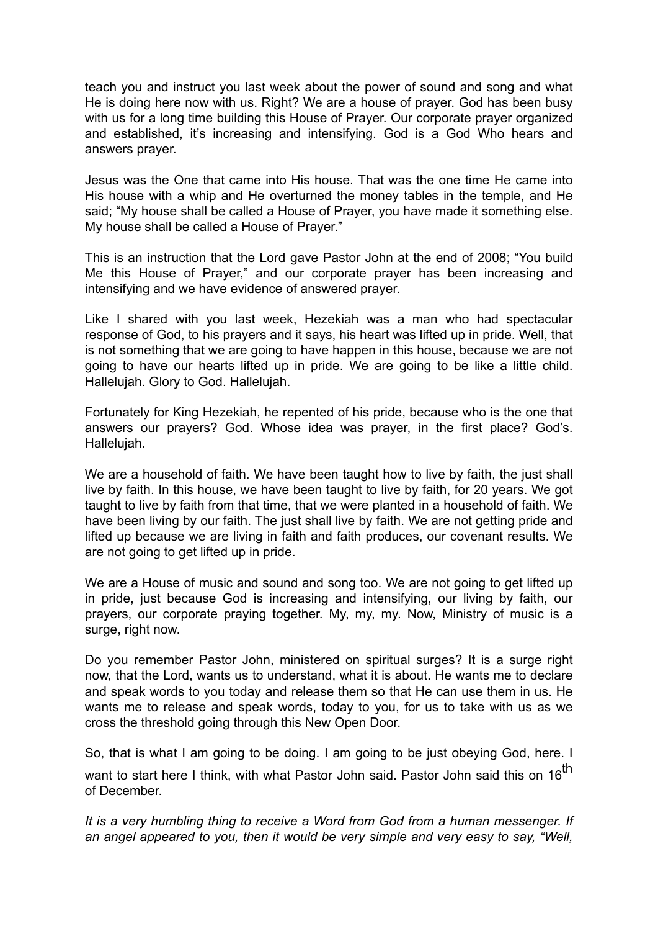teach you and instruct you last week about the power of sound and song and what He is doing here now with us. Right? We are a house of prayer. God has been busy with us for a long time building this House of Prayer. Our corporate prayer organized and established, it's increasing and intensifying. God is a God Who hears and answers prayer.

Jesus was the One that came into His house. That was the one time He came into His house with a whip and He overturned the money tables in the temple, and He said; "My house shall be called a House of Prayer, you have made it something else. My house shall be called a House of Prayer."

This is an instruction that the Lord gave Pastor John at the end of 2008; "You build Me this House of Prayer," and our corporate prayer has been increasing and intensifying and we have evidence of answered prayer.

Like I shared with you last week, Hezekiah was a man who had spectacular response of God, to his prayers and it says, his heart was lifted up in pride. Well, that is not something that we are going to have happen in this house, because we are not going to have our hearts lifted up in pride. We are going to be like a little child. Hallelujah. Glory to God. Hallelujah.

Fortunately for King Hezekiah, he repented of his pride, because who is the one that answers our prayers? God. Whose idea was prayer, in the first place? God's. Hallelujah.

We are a household of faith. We have been taught how to live by faith, the just shall live by faith. In this house, we have been taught to live by faith, for 20 years. We got taught to live by faith from that time, that we were planted in a household of faith. We have been living by our faith. The just shall live by faith. We are not getting pride and lifted up because we are living in faith and faith produces, our covenant results. We are not going to get lifted up in pride.

We are a House of music and sound and song too. We are not going to get lifted up in pride, just because God is increasing and intensifying, our living by faith, our prayers, our corporate praying together. My, my, my. Now, Ministry of music is a surge, right now.

Do you remember Pastor John, ministered on spiritual surges? It is a surge right now, that the Lord, wants us to understand, what it is about. He wants me to declare and speak words to you today and release them so that He can use them in us. He wants me to release and speak words, today to you, for us to take with us as we cross the threshold going through this New Open Door.

So, that is what I am going to be doing. I am going to be just obeying God, here. I want to start here I think, with what Pastor John said. Pastor John said this on 16<sup>th</sup> of December.

*It is a very humbling thing to receive a Word from God from a human messenger. If an angel appeared to you, then it would be very simple and very easy to say, "Well,*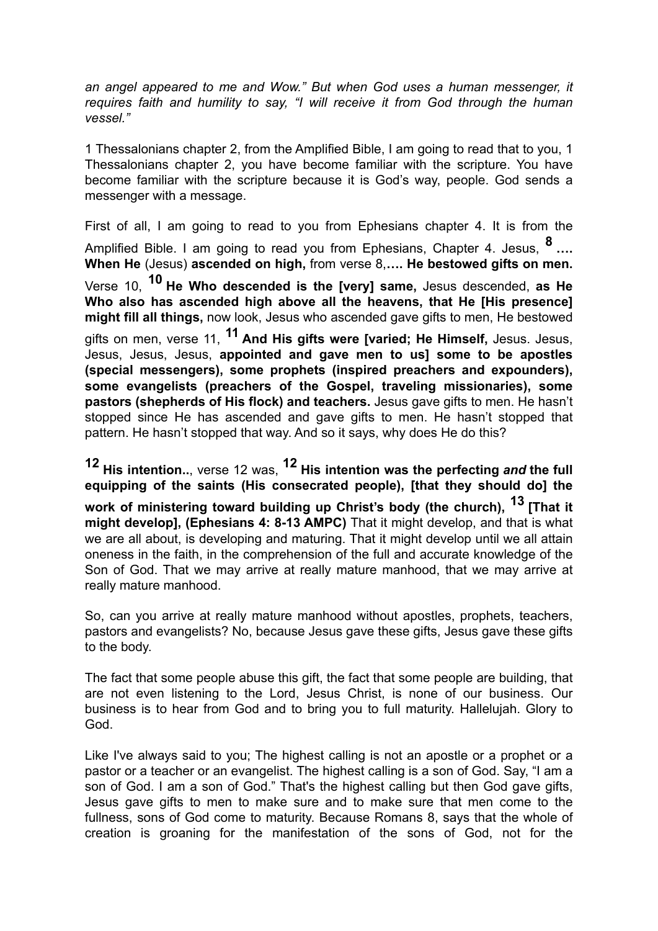*an angel appeared to me and Wow." But when God uses a human messenger, it requires faith and humility to say, "I will receive it from God through the human vessel."*

1 Thessalonians chapter 2, from the Amplified Bible, I am going to read that to you, 1 Thessalonians chapter 2, you have become familiar with the scripture. You have become familiar with the scripture because it is God's way, people. God sends a messenger with a message.

First of all, I am going to read to you from Ephesians chapter 4. It is from the Amplified Bible. I am going to read you from Ephesians, Chapter 4. Jesus, **8 …. When He** (Jesus) **ascended on high,** from verse 8,**…. He bestowed gifts on men.** 

Verse 10, **10 He Who descended is the [very] same,** Jesus descended, **as He Who also has ascended high above all the heavens, that He [His presence] might fill all things,** now look, Jesus who ascended gave gifts to men, He bestowed

gifts on men, verse 11, **11 And His gifts were [varied; He Himself,** Jesus. Jesus, Jesus, Jesus, Jesus, **appointed and gave men to us] some to be apostles (special messengers), some prophets (inspired preachers and expounders), some evangelists (preachers of the Gospel, traveling missionaries), some pastors (shepherds of His flock) and teachers.** Jesus gave gifts to men. He hasn't stopped since He has ascended and gave gifts to men. He hasn't stopped that pattern. He hasn't stopped that way. And so it says, why does He do this?

**12 His intention..**, verse 12 was, **12 His intention was the perfecting** *and* **the full equipping of the saints (His consecrated people), [that they should do] the** 

**work of ministering toward building up Christ's body (the church), 13 [That it might develop], (Ephesians 4: 8-13 AMPC)** That it might develop, and that is what we are all about, is developing and maturing. That it might develop until we all attain oneness in the faith, in the comprehension of the full and accurate knowledge of the Son of God. That we may arrive at really mature manhood, that we may arrive at really mature manhood.

So, can you arrive at really mature manhood without apostles, prophets, teachers, pastors and evangelists? No, because Jesus gave these gifts, Jesus gave these gifts to the body.

The fact that some people abuse this gift, the fact that some people are building, that are not even listening to the Lord, Jesus Christ, is none of our business. Our business is to hear from God and to bring you to full maturity. Hallelujah. Glory to God.

Like I've always said to you; The highest calling is not an apostle or a prophet or a pastor or a teacher or an evangelist. The highest calling is a son of God. Say, "I am a son of God. I am a son of God." That's the highest calling but then God gave gifts, Jesus gave gifts to men to make sure and to make sure that men come to the fullness, sons of God come to maturity. Because Romans 8, says that the whole of creation is groaning for the manifestation of the sons of God, not for the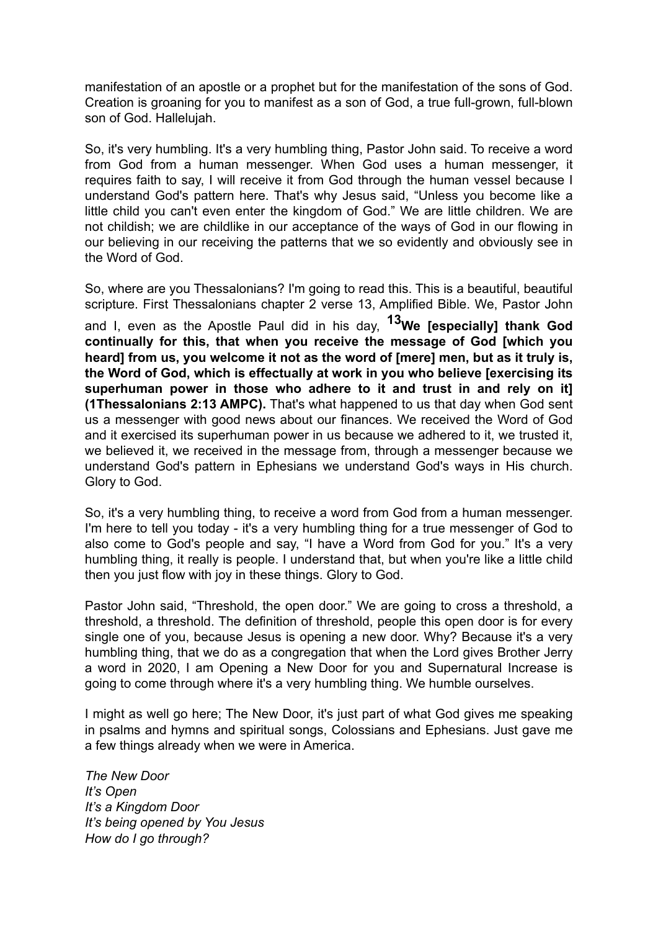manifestation of an apostle or a prophet but for the manifestation of the sons of God. Creation is groaning for you to manifest as a son of God, a true full-grown, full-blown son of God. Hallelujah.

So, it's very humbling. It's a very humbling thing, Pastor John said. To receive a word from God from a human messenger. When God uses a human messenger, it requires faith to say, I will receive it from God through the human vessel because I understand God's pattern here. That's why Jesus said, "Unless you become like a little child you can't even enter the kingdom of God." We are little children. We are not childish; we are childlike in our acceptance of the ways of God in our flowing in our believing in our receiving the patterns that we so evidently and obviously see in the Word of God.

So, where are you Thessalonians? I'm going to read this. This is a beautiful, beautiful scripture. First Thessalonians chapter 2 verse 13, Amplified Bible. We, Pastor John and I, even as the Apostle Paul did in his day, **13We [especially] thank God continually for this, that when you receive the message of God [which you heard] from us, you welcome it not as the word of [mere] men, but as it truly is, the Word of God, which is effectually at work in you who believe [exercising its superhuman power in those who adhere to it and trust in and rely on it] (1Thessalonians 2:13 AMPC).** That's what happened to us that day when God sent us a messenger with good news about our finances. We received the Word of God and it exercised its superhuman power in us because we adhered to it, we trusted it, we believed it, we received in the message from, through a messenger because we understand God's pattern in Ephesians we understand God's ways in His church. Glory to God.

So, it's a very humbling thing, to receive a word from God from a human messenger. I'm here to tell you today - it's a very humbling thing for a true messenger of God to also come to God's people and say, "I have a Word from God for you." It's a very humbling thing, it really is people. I understand that, but when you're like a little child then you just flow with joy in these things. Glory to God.

Pastor John said, "Threshold, the open door." We are going to cross a threshold, a threshold, a threshold. The definition of threshold, people this open door is for every single one of you, because Jesus is opening a new door. Why? Because it's a very humbling thing, that we do as a congregation that when the Lord gives Brother Jerry a word in 2020, I am Opening a New Door for you and Supernatural Increase is going to come through where it's a very humbling thing. We humble ourselves.

I might as well go here; The New Door, it's just part of what God gives me speaking in psalms and hymns and spiritual songs, Colossians and Ephesians. Just gave me a few things already when we were in America.

*The New Door It's Open It's a Kingdom Door It's being opened by You Jesus How do I go through?*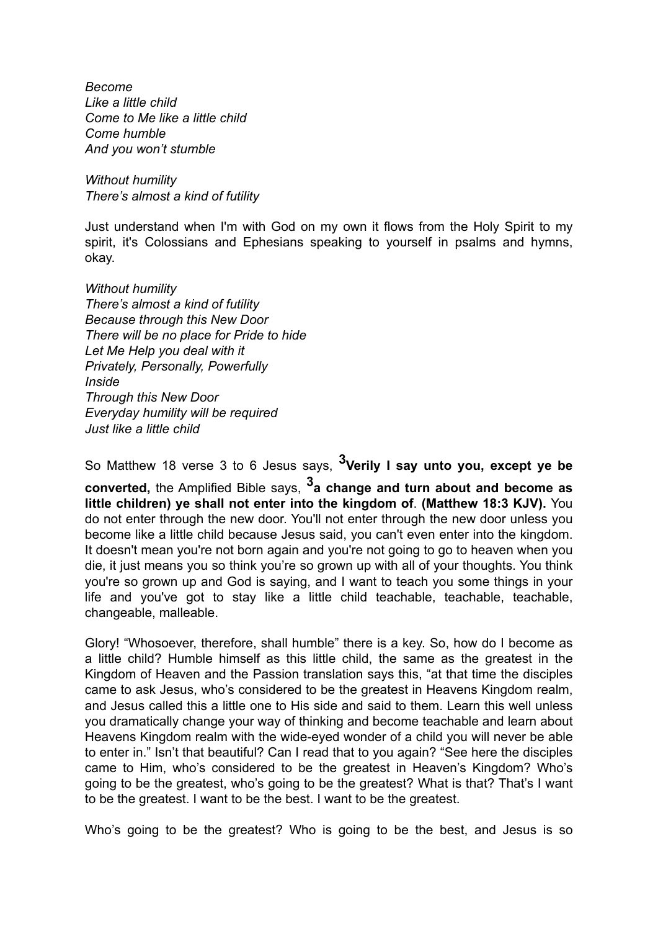*Become Like a little child Come to Me like a little child Come humble And you won't stumble*

*Without humility There's almost a kind of futility*

Just understand when I'm with God on my own it flows from the Holy Spirit to my spirit, it's Colossians and Ephesians speaking to yourself in psalms and hymns, okay.

*Without humility There's almost a kind of futility Because through this New Door There will be no place for Pride to hide Let Me Help you deal with it Privately, Personally, Powerfully Inside Through this New Door Everyday humility will be required Just like a little child*

So Matthew 18 verse 3 to 6 Jesus says, **3Verily I say unto you, except ye be converted,** the Amplified Bible says, **3a change and turn about and become as little children) ye shall not enter into the kingdom of**. **(Matthew 18:3 KJV).** You do not enter through the new door. You'll not enter through the new door unless you become like a little child because Jesus said, you can't even enter into the kingdom. It doesn't mean you're not born again and you're not going to go to heaven when you die, it just means you so think you're so grown up with all of your thoughts. You think you're so grown up and God is saying, and I want to teach you some things in your life and you've got to stay like a little child teachable, teachable, teachable, changeable, malleable.

Glory! "Whosoever, therefore, shall humble" there is a key. So, how do I become as a little child? Humble himself as this little child, the same as the greatest in the Kingdom of Heaven and the Passion translation says this, "at that time the disciples came to ask Jesus, who's considered to be the greatest in Heavens Kingdom realm, and Jesus called this a little one to His side and said to them. Learn this well unless you dramatically change your way of thinking and become teachable and learn about Heavens Kingdom realm with the wide-eyed wonder of a child you will never be able to enter in." Isn't that beautiful? Can I read that to you again? "See here the disciples came to Him, who's considered to be the greatest in Heaven's Kingdom? Who's going to be the greatest, who's going to be the greatest? What is that? That's I want to be the greatest. I want to be the best. I want to be the greatest.

Who's going to be the greatest? Who is going to be the best, and Jesus is so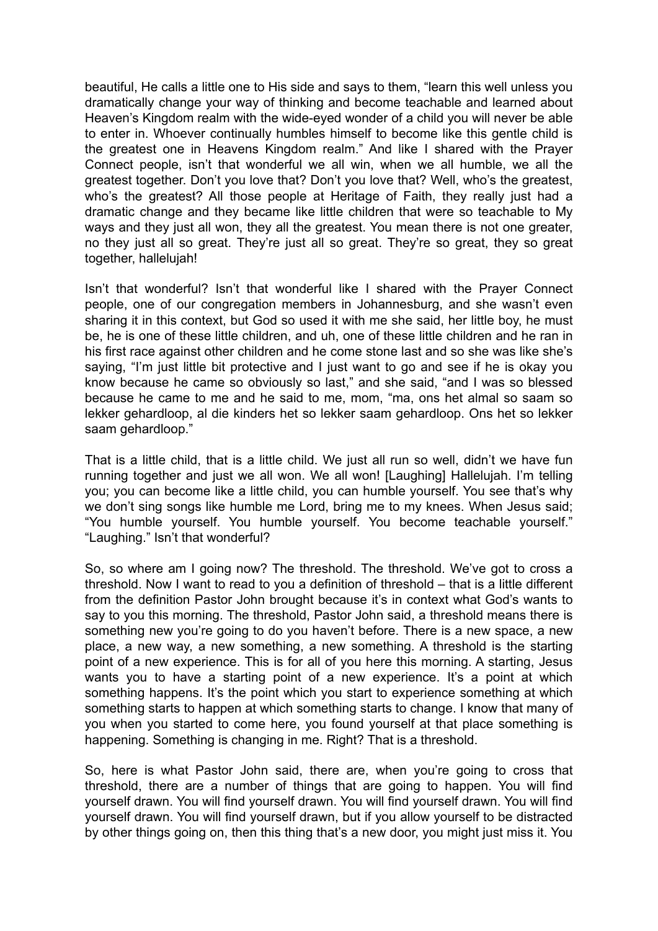beautiful, He calls a little one to His side and says to them, "learn this well unless you dramatically change your way of thinking and become teachable and learned about Heaven's Kingdom realm with the wide-eyed wonder of a child you will never be able to enter in. Whoever continually humbles himself to become like this gentle child is the greatest one in Heavens Kingdom realm." And like I shared with the Prayer Connect people, isn't that wonderful we all win, when we all humble, we all the greatest together. Don't you love that? Don't you love that? Well, who's the greatest, who's the greatest? All those people at Heritage of Faith, they really just had a dramatic change and they became like little children that were so teachable to My ways and they just all won, they all the greatest. You mean there is not one greater, no they just all so great. They're just all so great. They're so great, they so great together, hallelujah!

Isn't that wonderful? Isn't that wonderful like I shared with the Prayer Connect people, one of our congregation members in Johannesburg, and she wasn't even sharing it in this context, but God so used it with me she said, her little boy, he must be, he is one of these little children, and uh, one of these little children and he ran in his first race against other children and he come stone last and so she was like she's saying, "I'm just little bit protective and I just want to go and see if he is okay you know because he came so obviously so last," and she said, "and I was so blessed because he came to me and he said to me, mom, "ma, ons het almal so saam so lekker gehardloop, al die kinders het so lekker saam gehardloop. Ons het so lekker saam gehardloop."

That is a little child, that is a little child. We just all run so well, didn't we have fun running together and just we all won. We all won! [Laughing] Hallelujah. I'm telling you; you can become like a little child, you can humble yourself. You see that's why we don't sing songs like humble me Lord, bring me to my knees. When Jesus said; "You humble yourself. You humble yourself. You become teachable yourself." "Laughing." Isn't that wonderful?

So, so where am I going now? The threshold. The threshold. We've got to cross a threshold. Now I want to read to you a definition of threshold – that is a little different from the definition Pastor John brought because it's in context what God's wants to say to you this morning. The threshold, Pastor John said, a threshold means there is something new you're going to do you haven't before. There is a new space, a new place, a new way, a new something, a new something. A threshold is the starting point of a new experience. This is for all of you here this morning. A starting, Jesus wants you to have a starting point of a new experience. It's a point at which something happens. It's the point which you start to experience something at which something starts to happen at which something starts to change. I know that many of you when you started to come here, you found yourself at that place something is happening. Something is changing in me. Right? That is a threshold.

So, here is what Pastor John said, there are, when you're going to cross that threshold, there are a number of things that are going to happen. You will find yourself drawn. You will find yourself drawn. You will find yourself drawn. You will find yourself drawn. You will find yourself drawn, but if you allow yourself to be distracted by other things going on, then this thing that's a new door, you might just miss it. You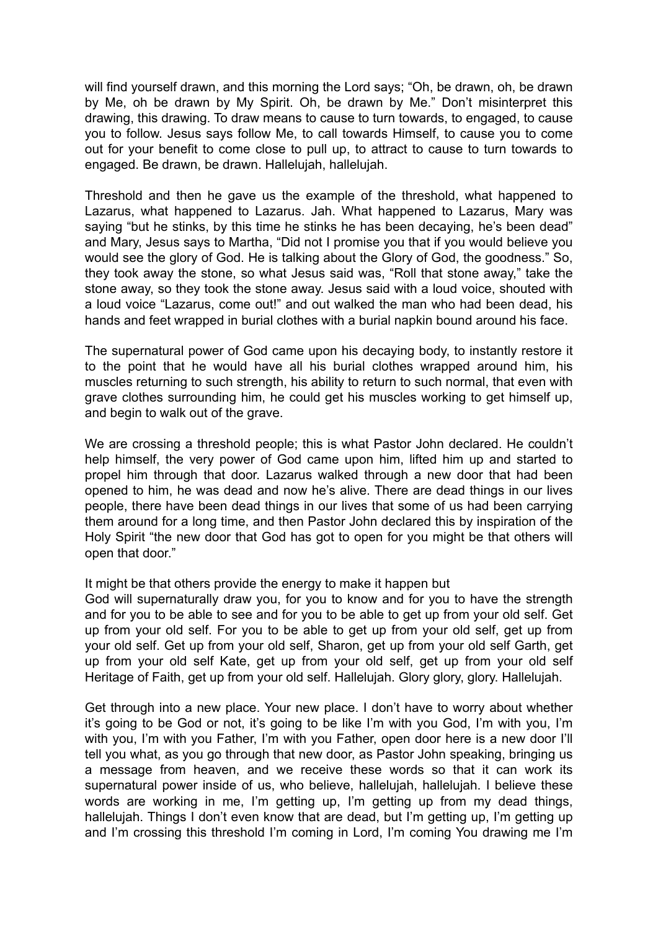will find yourself drawn, and this morning the Lord says; "Oh, be drawn, oh, be drawn by Me, oh be drawn by My Spirit. Oh, be drawn by Me." Don't misinterpret this drawing, this drawing. To draw means to cause to turn towards, to engaged, to cause you to follow. Jesus says follow Me, to call towards Himself, to cause you to come out for your benefit to come close to pull up, to attract to cause to turn towards to engaged. Be drawn, be drawn. Hallelujah, hallelujah.

Threshold and then he gave us the example of the threshold, what happened to Lazarus, what happened to Lazarus. Jah. What happened to Lazarus, Mary was saying "but he stinks, by this time he stinks he has been decaying, he's been dead" and Mary, Jesus says to Martha, "Did not I promise you that if you would believe you would see the glory of God. He is talking about the Glory of God, the goodness." So, they took away the stone, so what Jesus said was, "Roll that stone away," take the stone away, so they took the stone away. Jesus said with a loud voice, shouted with a loud voice "Lazarus, come out!" and out walked the man who had been dead, his hands and feet wrapped in burial clothes with a burial napkin bound around his face.

The supernatural power of God came upon his decaying body, to instantly restore it to the point that he would have all his burial clothes wrapped around him, his muscles returning to such strength, his ability to return to such normal, that even with grave clothes surrounding him, he could get his muscles working to get himself up, and begin to walk out of the grave.

We are crossing a threshold people; this is what Pastor John declared. He couldn't help himself, the very power of God came upon him, lifted him up and started to propel him through that door. Lazarus walked through a new door that had been opened to him, he was dead and now he's alive. There are dead things in our lives people, there have been dead things in our lives that some of us had been carrying them around for a long time, and then Pastor John declared this by inspiration of the Holy Spirit "the new door that God has got to open for you might be that others will open that door."

#### It might be that others provide the energy to make it happen but

God will supernaturally draw you, for you to know and for you to have the strength and for you to be able to see and for you to be able to get up from your old self. Get up from your old self. For you to be able to get up from your old self, get up from your old self. Get up from your old self, Sharon, get up from your old self Garth, get up from your old self Kate, get up from your old self, get up from your old self Heritage of Faith, get up from your old self. Hallelujah. Glory glory, glory. Hallelujah.

Get through into a new place. Your new place. I don't have to worry about whether it's going to be God or not, it's going to be like I'm with you God, I'm with you, I'm with you, I'm with you Father, I'm with you Father, open door here is a new door I'll tell you what, as you go through that new door, as Pastor John speaking, bringing us a message from heaven, and we receive these words so that it can work its supernatural power inside of us, who believe, hallelujah, hallelujah. I believe these words are working in me, I'm getting up, I'm getting up from my dead things, hallelujah. Things I don't even know that are dead, but I'm getting up, I'm getting up and I'm crossing this threshold I'm coming in Lord, I'm coming You drawing me I'm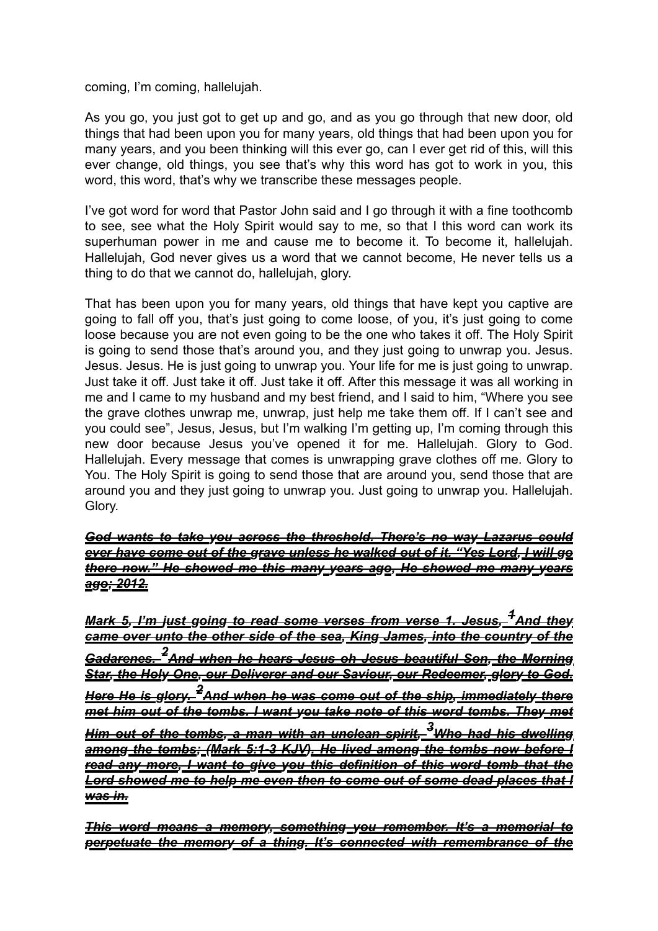coming, I'm coming, hallelujah.

As you go, you just got to get up and go, and as you go through that new door, old things that had been upon you for many years, old things that had been upon you for many years, and you been thinking will this ever go, can I ever get rid of this, will this ever change, old things, you see that's why this word has got to work in you, this word, this word, that's why we transcribe these messages people.

I've got word for word that Pastor John said and I go through it with a fine toothcomb to see, see what the Holy Spirit would say to me, so that I this word can work its superhuman power in me and cause me to become it. To become it, hallelujah. Hallelujah, God never gives us a word that we cannot become, He never tells us a thing to do that we cannot do, hallelujah, glory.

That has been upon you for many years, old things that have kept you captive are going to fall off you, that's just going to come loose, of you, it's just going to come loose because you are not even going to be the one who takes it off. The Holy Spirit is going to send those that's around you, and they just going to unwrap you. Jesus. Jesus. Jesus. He is just going to unwrap you. Your life for me is just going to unwrap. Just take it off. Just take it off. Just take it off. After this message it was all working in me and I came to my husband and my best friend, and I said to him, "Where you see the grave clothes unwrap me, unwrap, just help me take them off. If I can't see and you could see", Jesus, Jesus, but I'm walking I'm getting up, I'm coming through this new door because Jesus you've opened it for me. Hallelujah. Glory to God. Hallelujah. Every message that comes is unwrapping grave clothes off me. Glory to You. The Holy Spirit is going to send those that are around you, send those that are around you and they just going to unwrap you. Just going to unwrap you. Hallelujah. Glory.

## *God wants to take you across the threshold. There's no way Lazarus could ever have come out of the grave unless he walked out of it. "Yes Lord, I will go there now." He showed me this many years ago, He showed me many years ago; 2012.*

*Mark 5, I'm just going to read some verses from verse 1. Jesus, 1And they came over unto the other side of the sea, King James, into the country of the Gadarenes. 2And when he hears Jesus oh Jesus beautiful Son, the Morning Star, the Holy One, our Deliverer and our Saviour, our Redeemer, glory to God. Here He is glory. 2And when he was come out of the ship, immediately there met him out of the tombs. I want you take note of this word tombs. They met Him out of the tombs, a man with an unclean spirit, 3Who had his dwelling among the tombs; (Mark 5:1-3 KJV). He lived among the tombs now before I read any more, I want to give you this definition of this word tomb that the Lord showed me to help me even then to come out of some dead places that I was in.* 

*This word means a memory, something you remember. It's a memorial to perpetuate the memory of a thing. It's connected with remembrance of the*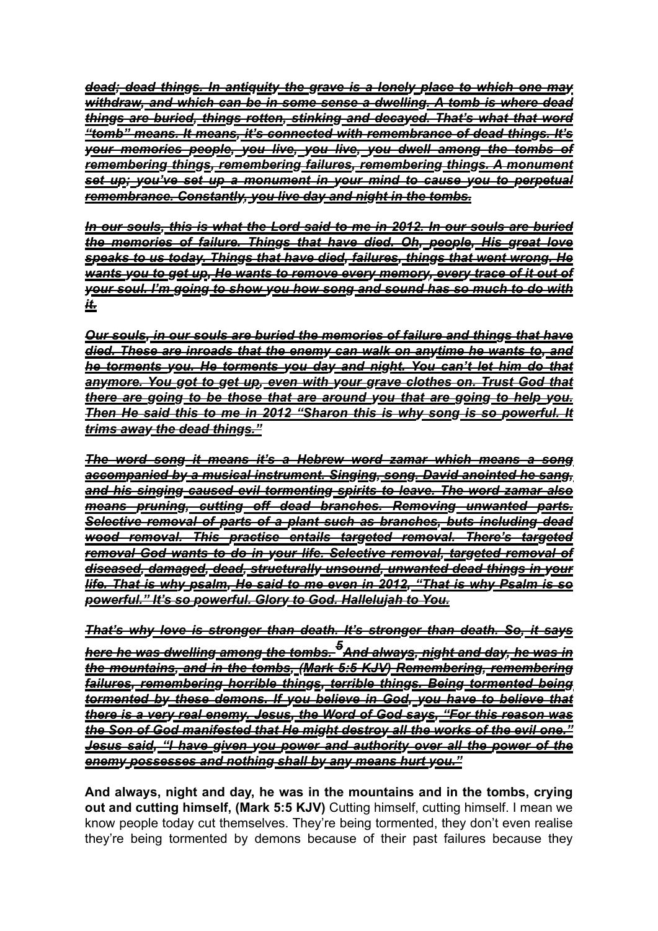*dead; dead things. In antiquity the grave is a lonely place to which one may withdraw, and which can be in some sense a dwelling. A tomb is where dead things are buried, things rotten, stinking and decayed. That's what that word "tomb" means. It means, it's connected with remembrance of dead things. It's your memories people, you live, you live, you dwell among the tombs of remembering things, remembering failures, remembering things. A monument set up; you've set up a monument in your mind to cause you to perpetual remembrance. Constantly, you live day and night in the tombs.* 

*In our souls, this is what the Lord said to me in 2012. In our souls are buried the memories of failure. Things that have died. Oh, people, His great love speaks to us today. Things that have died, failures, things that went wrong. He wants you to get up, He wants to remove every memory, every trace of it out of your soul. I'm going to show you how song and sound has so much to do with it.* 

*Our souls, in our souls are buried the memories of failure and things that have died. These are inroads that the enemy can walk on anytime he wants to, and he torments you. He torments you day and night. You can't let him do that anymore. You got to get up, even with your grave clothes on. Trust God that there are going to be those that are around you that are going to help you.*  **Then He said this to me in 2012 "Sharon this is why song is so powerful. It** *trims away the dead things."*

*The word song it means it's a Hebrew word zamar which means a song accompanied by a musical instrument. Singing, song. David anointed he sang, and his singing caused evil tormenting spirits to leave. The word zamar also means pruning, cutting off dead branches. Removing unwanted parts. Selective removal of parts of a plant such as branches, buts including dead wood removal. This practise entails targeted removal. There's targeted removal God wants to do in your life. Selective removal, targeted removal of diseased, damaged, dead, structurally unsound, unwanted dead things in your life. That is why psalm, He said to me even in 2012, "That is why Psalm is so powerful." It's so powerful. Glory to God. Hallelujah to You.* 

*That's why love is stronger than death. It's stronger than death. So, it says here he was dwelling among the tombs. 5And always, night and day, he was in the mountains, and in the tombs, (Mark 5:5 KJV) Remembering, remembering failures, remembering horrible things, terrible things. Being tormented being tormented by these demons. If you believe in God, you have to believe that there is a very real enemy. Jesus, the Word of God says, "For this reason was the Son of God manifested that He might destroy all the works of the evil one." Jesus said, "I have given you power and authority over all the power of the enemy possesses and nothing shall by any means hurt you."* 

**And always, night and day, he was in the mountains and in the tombs, crying out and cutting himself, (Mark 5:5 KJV)** Cutting himself, cutting himself. I mean we know people today cut themselves. They're being tormented, they don't even realise they're being tormented by demons because of their past failures because they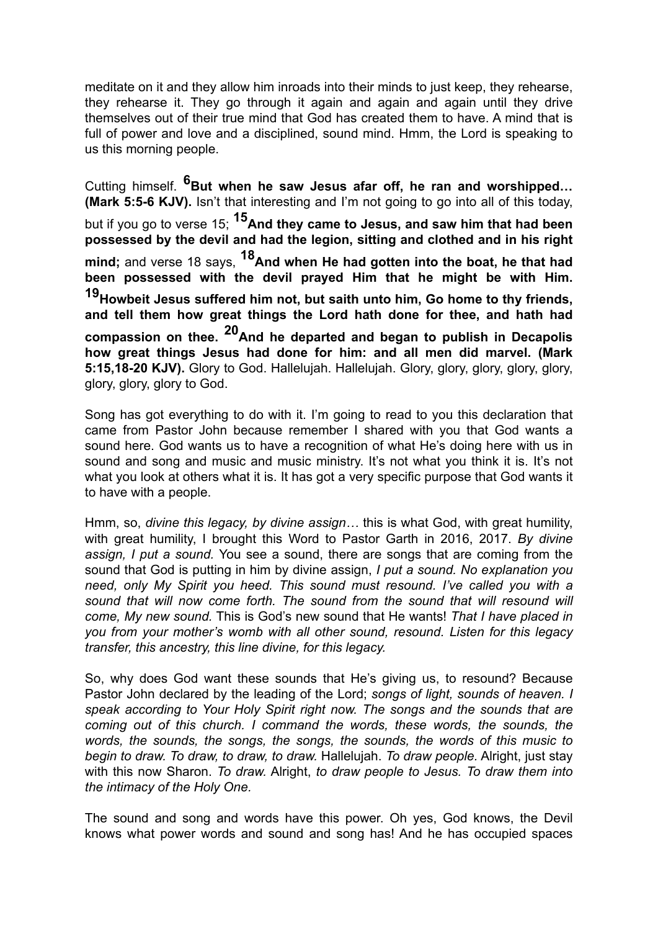meditate on it and they allow him inroads into their minds to just keep, they rehearse, they rehearse it. They go through it again and again and again until they drive themselves out of their true mind that God has created them to have. A mind that is full of power and love and a disciplined, sound mind. Hmm, the Lord is speaking to us this morning people.

Cutting himself. <sup>6</sup>But when he saw Jesus afar off, he ran and worshipped... **(Mark 5:5-6 KJV).** Isn't that interesting and I'm not going to go into all of this today, but if you go to verse 15; **15And they came to Jesus, and saw him that had been possessed by the devil and had the legion, sitting and clothed and in his right mind;** and verse 18 says, **18And when He had gotten into the boat, he that had been possessed with the devil prayed Him that he might be with Him. 19Howbeit Jesus suffered him not, but saith unto him, Go home to thy friends, and tell them how great things the Lord hath done for thee, and hath had compassion on thee. 20And he departed and began to publish in Decapolis how great things Jesus had done for him: and all men did marvel. (Mark 5:15,18-20 KJV).** Glory to God. Hallelujah. Hallelujah. Glory, glory, glory, glory, glory, glory, glory, glory to God.

Song has got everything to do with it. I'm going to read to you this declaration that came from Pastor John because remember I shared with you that God wants a sound here. God wants us to have a recognition of what He's doing here with us in sound and song and music and music ministry. It's not what you think it is. It's not what you look at others what it is. It has got a very specific purpose that God wants it to have with a people.

Hmm, so, *divine this legacy, by divine assign…* this is what God, with great humility, with great humility, I brought this Word to Pastor Garth in 2016, 2017. *By divine assign, I put a sound.* You see a sound, there are songs that are coming from the sound that God is putting in him by divine assign, *I put a sound. No explanation you need, only My Spirit you heed. This sound must resound. I've called you with a sound that will now come forth. The sound from the sound that will resound will come, My new sound.* This is God's new sound that He wants! *That I have placed in you from your mother's womb with all other sound, resound. Listen for this legacy transfer, this ancestry, this line divine, for this legacy.* 

So, why does God want these sounds that He's giving us, to resound? Because Pastor John declared by the leading of the Lord; *songs of light, sounds of heaven. I speak according to Your Holy Spirit right now. The songs and the sounds that are coming out of this church. I command the words, these words, the sounds, the words, the sounds, the songs, the songs, the sounds, the words of this music to begin to draw. To draw, to draw, to draw.* Hallelujah. *To draw people.* Alright, just stay with this now Sharon. *To draw.* Alright, *to draw people to Jesus. To draw them into the intimacy of the Holy One.*

The sound and song and words have this power. Oh yes, God knows, the Devil knows what power words and sound and song has! And he has occupied spaces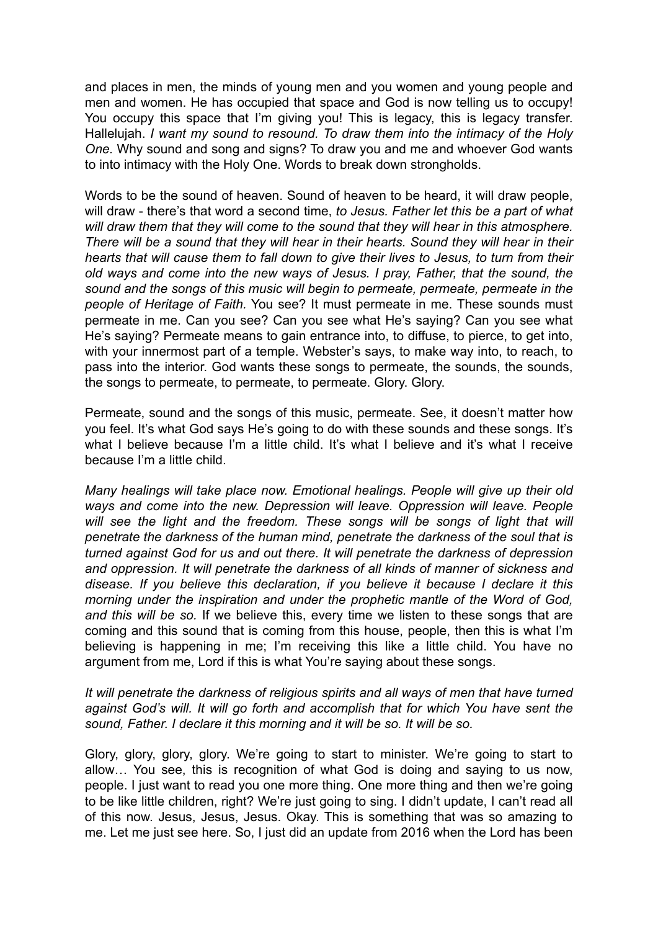and places in men, the minds of young men and you women and young people and men and women. He has occupied that space and God is now telling us to occupy! You occupy this space that I'm giving you! This is legacy, this is legacy transfer. Hallelujah. *I want my sound to resound. To draw them into the intimacy of the Holy One.* Why sound and song and signs? To draw you and me and whoever God wants to into intimacy with the Holy One. Words to break down strongholds.

Words to be the sound of heaven. Sound of heaven to be heard, it will draw people, will draw - there's that word a second time, *to Jesus. Father let this be a part of what will draw them that they will come to the sound that they will hear in this atmosphere. There will be a sound that they will hear in their hearts. Sound they will hear in their hearts that will cause them to fall down to give their lives to Jesus, to turn from their old ways and come into the new ways of Jesus. I pray, Father, that the sound, the sound and the songs of this music will begin to permeate, permeate, permeate in the people of Heritage of Faith.* You see? It must permeate in me. These sounds must permeate in me. Can you see? Can you see what He's saying? Can you see what He's saying? Permeate means to gain entrance into, to diffuse, to pierce, to get into, with your innermost part of a temple. Webster's says, to make way into, to reach, to pass into the interior. God wants these songs to permeate, the sounds, the sounds, the songs to permeate, to permeate, to permeate. Glory. Glory.

Permeate, sound and the songs of this music, permeate. See, it doesn't matter how you feel. It's what God says He's going to do with these sounds and these songs. It's what I believe because I'm a little child. It's what I believe and it's what I receive because I'm a little child.

*Many healings will take place now. Emotional healings. People will give up their old ways and come into the new. Depression will leave. Oppression will leave. People*  will see the light and the freedom. These songs will be songs of light that will *penetrate the darkness of the human mind, penetrate the darkness of the soul that is turned against God for us and out there. It will penetrate the darkness of depression and oppression. It will penetrate the darkness of all kinds of manner of sickness and disease. If you believe this declaration, if you believe it because I declare it this morning under the inspiration and under the prophetic mantle of the Word of God, and this will be so.* If we believe this, every time we listen to these songs that are coming and this sound that is coming from this house, people, then this is what I'm believing is happening in me; I'm receiving this like a little child. You have no argument from me, Lord if this is what You're saying about these songs.

### *It will penetrate the darkness of religious spirits and all ways of men that have turned against God's will. It will go forth and accomplish that for which You have sent the sound, Father. I declare it this morning and it will be so. It will be so.*

Glory, glory, glory, glory. We're going to start to minister. We're going to start to allow… You see, this is recognition of what God is doing and saying to us now, people. I just want to read you one more thing. One more thing and then we're going to be like little children, right? We're just going to sing. I didn't update, I can't read all of this now. Jesus, Jesus, Jesus. Okay. This is something that was so amazing to me. Let me just see here. So, I just did an update from 2016 when the Lord has been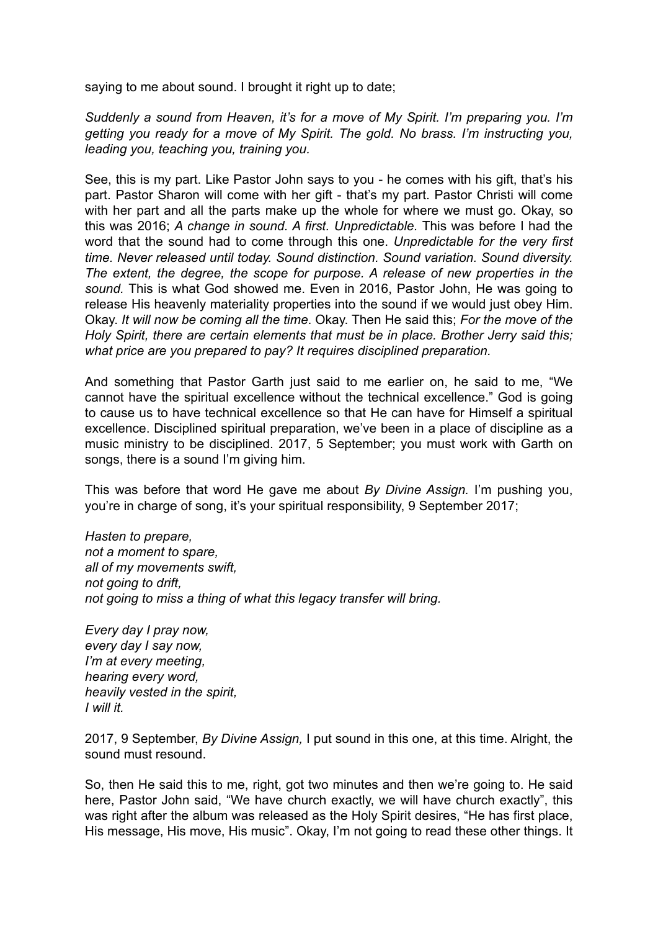saying to me about sound. I brought it right up to date;

*Suddenly a sound from Heaven, it's for a move of My Spirit. I'm preparing you. I'm getting you ready for a move of My Spirit. The gold. No brass. I'm instructing you, leading you, teaching you, training you.*

See, this is my part. Like Pastor John says to you - he comes with his gift, that's his part. Pastor Sharon will come with her gift - that's my part. Pastor Christi will come with her part and all the parts make up the whole for where we must go. Okay, so this was 2016; *A change in sound. A first. Unpredictable.* This was before I had the word that the sound had to come through this one. *Unpredictable for the very first time. Never released until today. Sound distinction. Sound variation. Sound diversity. The extent, the degree, the scope for purpose. A release of new properties in the sound.* This is what God showed me. Even in 2016, Pastor John, He was going to release His heavenly materiality properties into the sound if we would just obey Him. Okay. *It will now be coming all the time*. Okay. Then He said this; *For the move of the Holy Spirit, there are certain elements that must be in place. Brother Jerry said this; what price are you prepared to pay? It requires disciplined preparation.* 

And something that Pastor Garth just said to me earlier on, he said to me, "We cannot have the spiritual excellence without the technical excellence." God is going to cause us to have technical excellence so that He can have for Himself a spiritual excellence. Disciplined spiritual preparation, we've been in a place of discipline as a music ministry to be disciplined. 2017, 5 September; you must work with Garth on songs, there is a sound I'm giving him.

This was before that word He gave me about *By Divine Assign.* I'm pushing you, you're in charge of song, it's your spiritual responsibility, 9 September 2017;

*Hasten to prepare, not a moment to spare, all of my movements swift, not going to drift, not going to miss a thing of what this legacy transfer will bring.*

*Every day I pray now, every day I say now, I'm at every meeting, hearing every word, heavily vested in the spirit, I will it.*

2017, 9 September, *By Divine Assign,* I put sound in this one, at this time. Alright, the sound must resound.

So, then He said this to me, right, got two minutes and then we're going to. He said here, Pastor John said, "We have church exactly, we will have church exactly", this was right after the album was released as the Holy Spirit desires, "He has first place, His message, His move, His music". Okay, I'm not going to read these other things. It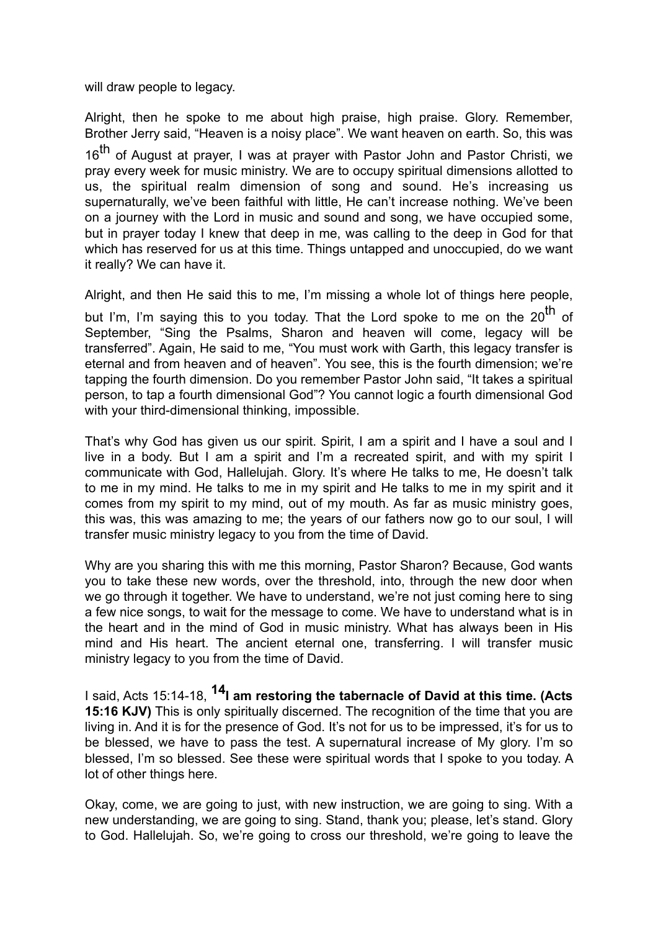will draw people to legacy.

Alright, then he spoke to me about high praise, high praise. Glory. Remember, Brother Jerry said, "Heaven is a noisy place". We want heaven on earth. So, this was

16<sup>th</sup> of August at prayer, I was at prayer with Pastor John and Pastor Christi, we pray every week for music ministry. We are to occupy spiritual dimensions allotted to us, the spiritual realm dimension of song and sound. He's increasing us supernaturally, we've been faithful with little, He can't increase nothing. We've been on a journey with the Lord in music and sound and song, we have occupied some, but in prayer today I knew that deep in me, was calling to the deep in God for that which has reserved for us at this time. Things untapped and unoccupied, do we want it really? We can have it.

Alright, and then He said this to me, I'm missing a whole lot of things here people,

but I'm, I'm saying this to you today. That the Lord spoke to me on the 20<sup>th</sup> of September, "Sing the Psalms, Sharon and heaven will come, legacy will be transferred". Again, He said to me, "You must work with Garth, this legacy transfer is eternal and from heaven and of heaven". You see, this is the fourth dimension; we're tapping the fourth dimension. Do you remember Pastor John said, "It takes a spiritual person, to tap a fourth dimensional God"? You cannot logic a fourth dimensional God with your third-dimensional thinking, impossible.

That's why God has given us our spirit. Spirit, I am a spirit and I have a soul and I live in a body. But I am a spirit and I'm a recreated spirit, and with my spirit I communicate with God, Hallelujah. Glory. It's where He talks to me, He doesn't talk to me in my mind. He talks to me in my spirit and He talks to me in my spirit and it comes from my spirit to my mind, out of my mouth. As far as music ministry goes, this was, this was amazing to me; the years of our fathers now go to our soul, I will transfer music ministry legacy to you from the time of David.

Why are you sharing this with me this morning, Pastor Sharon? Because, God wants you to take these new words, over the threshold, into, through the new door when we go through it together. We have to understand, we're not just coming here to sing a few nice songs, to wait for the message to come. We have to understand what is in the heart and in the mind of God in music ministry. What has always been in His mind and His heart. The ancient eternal one, transferring. I will transfer music ministry legacy to you from the time of David.

I said, Acts 15:14-18, **14I am restoring the tabernacle of David at this time. (Acts 15:16 KJV)** This is only spiritually discerned. The recognition of the time that you are living in. And it is for the presence of God. It's not for us to be impressed, it's for us to be blessed, we have to pass the test. A supernatural increase of My glory. I'm so blessed, I'm so blessed. See these were spiritual words that I spoke to you today. A lot of other things here.

Okay, come, we are going to just, with new instruction, we are going to sing. With a new understanding, we are going to sing. Stand, thank you; please, let's stand. Glory to God. Hallelujah. So, we're going to cross our threshold, we're going to leave the